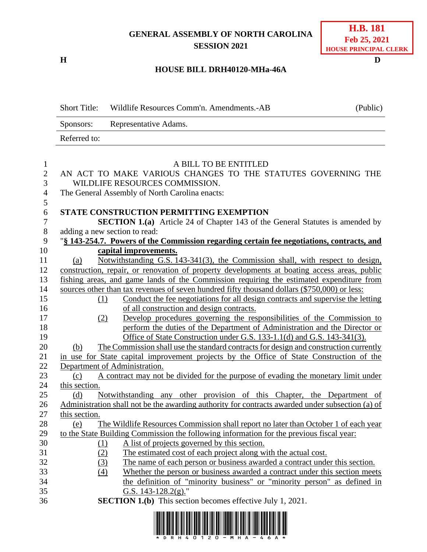## **GENERAL ASSEMBLY OF NORTH CAROLINA SESSION 2021**

**H D**

## **HOUSE BILL DRH40120-MHa-46A**

|                                                     | <b>Short Title:</b> | Wildlife Resources Comm'n. Amendments.-AB                                                                                                                                                                                                                     | (Public) |
|-----------------------------------------------------|---------------------|---------------------------------------------------------------------------------------------------------------------------------------------------------------------------------------------------------------------------------------------------------------|----------|
|                                                     | Sponsors:           | Representative Adams.                                                                                                                                                                                                                                         |          |
|                                                     | Referred to:        |                                                                                                                                                                                                                                                               |          |
| $\mathbf{1}$<br>$\mathbf{2}$<br>3<br>$\overline{4}$ |                     | A BILL TO BE ENTITLED<br>AN ACT TO MAKE VARIOUS CHANGES TO THE STATUTES GOVERNING THE<br>WILDLIFE RESOURCES COMMISSION.<br>The General Assembly of North Carolina enacts:                                                                                     |          |
| 5<br>6<br>$\boldsymbol{7}$<br>$8\,$<br>9            |                     | STATE CONSTRUCTION PERMITTING EXEMPTION<br><b>SECTION 1.(a)</b> Article 24 of Chapter 143 of the General Statutes is amended by<br>adding a new section to read:<br>"§ 143-254.7. Powers of the Commission regarding certain fee negotiations, contracts, and |          |
| 10                                                  |                     | capital improvements.                                                                                                                                                                                                                                         |          |
| 11<br>12                                            | (a)                 | Notwithstanding G.S. 143-341(3), the Commission shall, with respect to design,<br>construction, repair, or renovation of property developments at boating access areas, public                                                                                |          |
| 13                                                  |                     | fishing areas, and game lands of the Commission requiring the estimated expenditure from                                                                                                                                                                      |          |
| 14                                                  |                     | sources other than tax revenues of seven hundred fifty thousand dollars (\$750,000) or less:                                                                                                                                                                  |          |
| 15<br>16                                            | (1)                 | Conduct the fee negotiations for all design contracts and supervise the letting<br>of all construction and design contracts.                                                                                                                                  |          |
| 17                                                  | (2)                 | Develop procedures governing the responsibilities of the Commission to                                                                                                                                                                                        |          |
| 18                                                  |                     | perform the duties of the Department of Administration and the Director or                                                                                                                                                                                    |          |
| 19                                                  |                     | Office of State Construction under G.S. 133-1.1(d) and G.S. 143-341(3).                                                                                                                                                                                       |          |
| 20                                                  | (b)                 | The Commission shall use the standard contracts for design and construction currently                                                                                                                                                                         |          |
| 21                                                  |                     | in use for State capital improvement projects by the Office of State Construction of the                                                                                                                                                                      |          |
| 22                                                  |                     | Department of Administration.                                                                                                                                                                                                                                 |          |
| 23                                                  | (c)                 | A contract may not be divided for the purpose of evading the monetary limit under                                                                                                                                                                             |          |
| 24                                                  | this section.       |                                                                                                                                                                                                                                                               |          |
| 25                                                  | (d)                 | Notwithstanding any other provision of this Chapter, the Department of                                                                                                                                                                                        |          |
| 26                                                  |                     | Administration shall not be the awarding authority for contracts awarded under subsection (a) of                                                                                                                                                              |          |
| 27                                                  | this section.       |                                                                                                                                                                                                                                                               |          |
| 28                                                  | (e)                 | The Wildlife Resources Commission shall report no later than October 1 of each year                                                                                                                                                                           |          |
| 29                                                  |                     | to the State Building Commission the following information for the previous fiscal year:                                                                                                                                                                      |          |
| 30                                                  | <u>(1)</u>          | A list of projects governed by this section.                                                                                                                                                                                                                  |          |
| 31                                                  | (2)                 | The estimated cost of each project along with the actual cost.                                                                                                                                                                                                |          |
| 32                                                  | (3)                 | The name of each person or business awarded a contract under this section.                                                                                                                                                                                    |          |
| 33                                                  | (4)                 | Whether the person or business awarded a contract under this section meets                                                                                                                                                                                    |          |
| 34                                                  |                     | the definition of "minority business" or "minority person" as defined in                                                                                                                                                                                      |          |
| 35                                                  |                     | G.S. 143-128.2(g)."                                                                                                                                                                                                                                           |          |
| 36                                                  |                     | <b>SECTION 1.(b)</b> This section becomes effective July 1, 2021.                                                                                                                                                                                             |          |

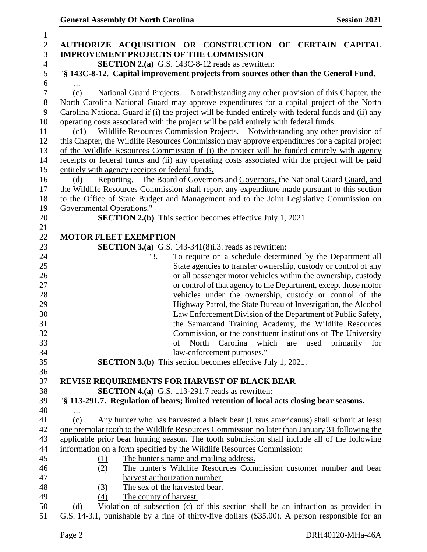**General Assembly Of North Carolina Session 2021** 

| $\mathbf{1}$   |                                                                                                          |  |  |  |  |
|----------------|----------------------------------------------------------------------------------------------------------|--|--|--|--|
| $\mathbf{2}$   | AUTHORIZE ACQUISITION OR CONSTRUCTION OF CERTAIN CAPITAL                                                 |  |  |  |  |
| 3              | <b>IMPROVEMENT PROJECTS OF THE COMMISSION</b>                                                            |  |  |  |  |
| $\overline{4}$ | <b>SECTION 2.(a)</b> G.S. 143C-8-12 reads as rewritten:                                                  |  |  |  |  |
| 5              | "§ 143C-8-12. Capital improvement projects from sources other than the General Fund.                     |  |  |  |  |
| 6              |                                                                                                          |  |  |  |  |
| 7              | National Guard Projects. – Notwithstanding any other provision of this Chapter, the<br>(c)               |  |  |  |  |
| $8\,$          | North Carolina National Guard may approve expenditures for a capital project of the North                |  |  |  |  |
| 9              | Carolina National Guard if (i) the project will be funded entirely with federal funds and (ii) any       |  |  |  |  |
| 10             | operating costs associated with the project will be paid entirely with federal funds.                    |  |  |  |  |
| 11             | Wildlife Resources Commission Projects. – Notwithstanding any other provision of<br>(c1)                 |  |  |  |  |
| 12             | this Chapter, the Wildlife Resources Commission may approve expenditures for a capital project           |  |  |  |  |
| 13             | of the Wildlife Resources Commission if (i) the project will be funded entirely with agency              |  |  |  |  |
| 14             | receipts or federal funds and (ii) any operating costs associated with the project will be paid          |  |  |  |  |
| 15             | entirely with agency receipts or federal funds.                                                          |  |  |  |  |
| 16             | Reporting. - The Board of Governors and Governors, the National Guard Guard, and<br>(d)                  |  |  |  |  |
| 17             | the Wildlife Resources Commission shall report any expenditure made pursuant to this section             |  |  |  |  |
| 18             | to the Office of State Budget and Management and to the Joint Legislative Commission on                  |  |  |  |  |
| 19             | Governmental Operations."                                                                                |  |  |  |  |
| 20             | <b>SECTION 2.(b)</b> This section becomes effective July 1, 2021.                                        |  |  |  |  |
| 21             |                                                                                                          |  |  |  |  |
| 22             | <b>MOTOR FLEET EXEMPTION</b>                                                                             |  |  |  |  |
| 23             | <b>SECTION 3.(a)</b> G.S. 143-341(8)i.3. reads as rewritten:                                             |  |  |  |  |
| 24             | "3.<br>To require on a schedule determined by the Department all                                         |  |  |  |  |
| 25             | State agencies to transfer ownership, custody or control of any                                          |  |  |  |  |
| 26             | or all passenger motor vehicles within the ownership, custody                                            |  |  |  |  |
| 27             | or control of that agency to the Department, except those motor                                          |  |  |  |  |
| 28             | vehicles under the ownership, custody or control of the                                                  |  |  |  |  |
| 29             | Highway Patrol, the State Bureau of Investigation, the Alcohol                                           |  |  |  |  |
| 30             | Law Enforcement Division of the Department of Public Safety,                                             |  |  |  |  |
| 31             | the Samarcand Training Academy, the Wildlife Resources                                                   |  |  |  |  |
| 32             | Commission, or the constituent institutions of The University                                            |  |  |  |  |
| 33             | of North Carolina which are used primarily for                                                           |  |  |  |  |
| 34             | law-enforcement purposes."                                                                               |  |  |  |  |
| 35             | <b>SECTION 3.(b)</b> This section becomes effective July 1, 2021.                                        |  |  |  |  |
| 36             |                                                                                                          |  |  |  |  |
| 37             | REVISE REQUIREMENTS FOR HARVEST OF BLACK BEAR<br><b>SECTION 4.(a)</b> G.S. 113-291.7 reads as rewritten: |  |  |  |  |
| 38<br>39       |                                                                                                          |  |  |  |  |
| 40             | "§ 113-291.7. Regulation of bears; limited retention of local acts closing bear seasons.                 |  |  |  |  |
| 41             | .<br>Any hunter who has harvested a black bear (Ursus americanus) shall submit at least<br>(c)           |  |  |  |  |
| 42             | one premolar tooth to the Wildlife Resources Commission no later than January 31 following the           |  |  |  |  |
| 43             | applicable prior bear hunting season. The tooth submission shall include all of the following            |  |  |  |  |
| 44             | information on a form specified by the Wildlife Resources Commission:                                    |  |  |  |  |
| 45             | The hunter's name and mailing address.<br>(1)                                                            |  |  |  |  |
| 46             | The hunter's Wildlife Resources Commission customer number and bear<br>(2)                               |  |  |  |  |
| 47             | harvest authorization number.                                                                            |  |  |  |  |
| 48             | The sex of the harvested bear.<br>(3)                                                                    |  |  |  |  |
| 49             | The county of harvest.<br>(4)                                                                            |  |  |  |  |
| 50             | Violation of subsection (c) of this section shall be an infraction as provided in<br>(d)                 |  |  |  |  |
| 51             | G.S. 14-3.1, punishable by a fine of thirty-five dollars (\$35.00). A person responsible for an          |  |  |  |  |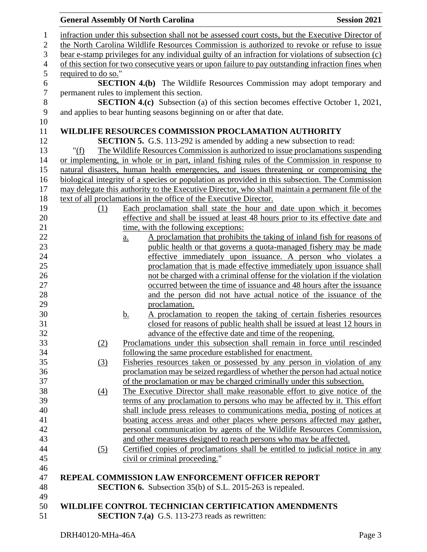|                  | <b>General Assembly Of North Carolina</b>                                                                                                                                                        |                                                         |                                                                         | <b>Session 2021</b>                                                                               |  |  |  |
|------------------|--------------------------------------------------------------------------------------------------------------------------------------------------------------------------------------------------|---------------------------------------------------------|-------------------------------------------------------------------------|---------------------------------------------------------------------------------------------------|--|--|--|
| 1                |                                                                                                                                                                                                  |                                                         |                                                                         |                                                                                                   |  |  |  |
| $\boldsymbol{2}$ | infraction under this subsection shall not be assessed court costs, but the Executive Director of<br>the North Carolina Wildlife Resources Commission is authorized to revoke or refuse to issue |                                                         |                                                                         |                                                                                                   |  |  |  |
| 3                | bear e-stamp privileges for any individual guilty of an infraction for violations of subsection (c)                                                                                              |                                                         |                                                                         |                                                                                                   |  |  |  |
| $\overline{4}$   | of this section for two consecutive years or upon failure to pay outstanding infraction fines when                                                                                               |                                                         |                                                                         |                                                                                                   |  |  |  |
| $\mathfrak s$    | required to do so."                                                                                                                                                                              |                                                         |                                                                         |                                                                                                   |  |  |  |
| $\boldsymbol{6}$ |                                                                                                                                                                                                  |                                                         |                                                                         | <b>SECTION 4.(b)</b> The Wildlife Resources Commission may adopt temporary and                    |  |  |  |
| $\tau$           |                                                                                                                                                                                                  |                                                         | permanent rules to implement this section.                              |                                                                                                   |  |  |  |
| 8                |                                                                                                                                                                                                  |                                                         |                                                                         | <b>SECTION 4.(c)</b> Subsection (a) of this section becomes effective October 1, 2021,            |  |  |  |
| 9                |                                                                                                                                                                                                  |                                                         | and applies to bear hunting seasons beginning on or after that date.    |                                                                                                   |  |  |  |
| 10               |                                                                                                                                                                                                  |                                                         |                                                                         |                                                                                                   |  |  |  |
| 11               |                                                                                                                                                                                                  |                                                         | <b>WILDLIFE RESOURCES COMMISSION PROCLAMATION AUTHORITY</b>             |                                                                                                   |  |  |  |
| 12               |                                                                                                                                                                                                  |                                                         | SECTION 5. G.S. 113-292 is amended by adding a new subsection to read:  |                                                                                                   |  |  |  |
| 13               | " $(f)$                                                                                                                                                                                          |                                                         |                                                                         | The Wildlife Resources Commission is authorized to issue proclamations suspending                 |  |  |  |
| 14               |                                                                                                                                                                                                  |                                                         |                                                                         | or implementing, in whole or in part, inland fishing rules of the Commission in response to       |  |  |  |
| 15               |                                                                                                                                                                                                  |                                                         |                                                                         | natural disasters, human health emergencies, and issues threatening or compromising the           |  |  |  |
| 16               |                                                                                                                                                                                                  |                                                         |                                                                         | biological integrity of a species or population as provided in this subsection. The Commission    |  |  |  |
| 17               |                                                                                                                                                                                                  |                                                         |                                                                         | may delegate this authority to the Executive Director, who shall maintain a permanent file of the |  |  |  |
| 18               |                                                                                                                                                                                                  |                                                         | text of all proclamations in the office of the Executive Director.      |                                                                                                   |  |  |  |
| 19               | (1)                                                                                                                                                                                              |                                                         |                                                                         | Each proclamation shall state the hour and date upon which it becomes                             |  |  |  |
| 20               |                                                                                                                                                                                                  |                                                         |                                                                         | effective and shall be issued at least 48 hours prior to its effective date and                   |  |  |  |
| 21               |                                                                                                                                                                                                  |                                                         | time, with the following exceptions:                                    |                                                                                                   |  |  |  |
| 22               |                                                                                                                                                                                                  | a.                                                      |                                                                         | A proclamation that prohibits the taking of inland fish for reasons of                            |  |  |  |
| 23               |                                                                                                                                                                                                  |                                                         |                                                                         | public health or that governs a quota-managed fishery may be made                                 |  |  |  |
| 24               |                                                                                                                                                                                                  |                                                         |                                                                         | effective immediately upon issuance. A person who violates a                                      |  |  |  |
| 25               |                                                                                                                                                                                                  |                                                         |                                                                         | proclamation that is made effective immediately upon issuance shall                               |  |  |  |
| 26               |                                                                                                                                                                                                  |                                                         |                                                                         | not be charged with a criminal offense for the violation if the violation                         |  |  |  |
| 27               |                                                                                                                                                                                                  |                                                         |                                                                         | occurred between the time of issuance and 48 hours after the issuance                             |  |  |  |
| 28               |                                                                                                                                                                                                  |                                                         |                                                                         | and the person did not have actual notice of the issuance of the                                  |  |  |  |
| 29               |                                                                                                                                                                                                  |                                                         | proclamation.                                                           |                                                                                                   |  |  |  |
| 30               |                                                                                                                                                                                                  | <u>b.</u>                                               |                                                                         | A proclamation to reopen the taking of certain fisheries resources                                |  |  |  |
| 31               |                                                                                                                                                                                                  |                                                         |                                                                         | closed for reasons of public health shall be issued at least 12 hours in                          |  |  |  |
| 32               |                                                                                                                                                                                                  |                                                         | advance of the effective date and time of the reopening.                |                                                                                                   |  |  |  |
| 33               | (2)                                                                                                                                                                                              |                                                         |                                                                         | Proclamations under this subsection shall remain in force until rescinded                         |  |  |  |
| 34               |                                                                                                                                                                                                  |                                                         | following the same procedure established for enactment.                 |                                                                                                   |  |  |  |
| 35               | (3)                                                                                                                                                                                              |                                                         |                                                                         | Fisheries resources taken or possessed by any person in violation of any                          |  |  |  |
| 36               |                                                                                                                                                                                                  |                                                         |                                                                         | proclamation may be seized regardless of whether the person had actual notice                     |  |  |  |
| 37               |                                                                                                                                                                                                  |                                                         | of the proclamation or may be charged criminally under this subsection. |                                                                                                   |  |  |  |
| 38               | $\left(4\right)$                                                                                                                                                                                 |                                                         |                                                                         | The Executive Director shall make reasonable effort to give notice of the                         |  |  |  |
| 39               |                                                                                                                                                                                                  |                                                         |                                                                         | terms of any proclamation to persons who may be affected by it. This effort                       |  |  |  |
| 40               |                                                                                                                                                                                                  |                                                         |                                                                         | shall include press releases to communications media, posting of notices at                       |  |  |  |
| 41               |                                                                                                                                                                                                  |                                                         |                                                                         | boating access areas and other places where persons affected may gather,                          |  |  |  |
| 42               |                                                                                                                                                                                                  |                                                         |                                                                         | personal communication by agents of the Wildlife Resources Commission,                            |  |  |  |
| 43               |                                                                                                                                                                                                  |                                                         | and other measures designed to reach persons who may be affected.       |                                                                                                   |  |  |  |
| 44               | (5)                                                                                                                                                                                              |                                                         |                                                                         | Certified copies of proclamations shall be entitled to judicial notice in any                     |  |  |  |
| 45               |                                                                                                                                                                                                  |                                                         | civil or criminal proceeding."                                          |                                                                                                   |  |  |  |
| 46               |                                                                                                                                                                                                  |                                                         |                                                                         |                                                                                                   |  |  |  |
| 47               |                                                                                                                                                                                                  | <b>REPEAL COMMISSION LAW ENFORCEMENT OFFICER REPORT</b> |                                                                         |                                                                                                   |  |  |  |
| 48               |                                                                                                                                                                                                  |                                                         | <b>SECTION 6.</b> Subsection 35(b) of S.L. 2015-263 is repealed.        |                                                                                                   |  |  |  |
| 49               |                                                                                                                                                                                                  |                                                         |                                                                         |                                                                                                   |  |  |  |
| 50               |                                                                                                                                                                                                  |                                                         | WILDLIFE CONTROL TECHNICIAN CERTIFICATION AMENDMENTS                    |                                                                                                   |  |  |  |
| 51               |                                                                                                                                                                                                  |                                                         | <b>SECTION 7.(a)</b> G.S. 113-273 reads as rewritten:                   |                                                                                                   |  |  |  |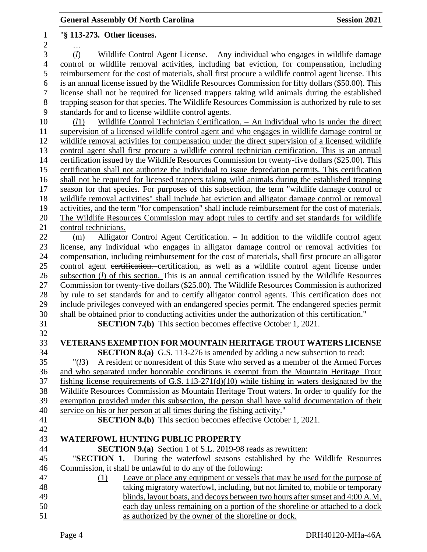"**§ 113-273. Other licenses.** … (*l*) Wildlife Control Agent License. – Any individual who engages in wildlife damage control or wildlife removal activities, including bat eviction, for compensation, including reimbursement for the cost of materials, shall first procure a wildlife control agent license. This is an annual license issued by the Wildlife Resources Commission for fifty dollars (\$50.00). This license shall not be required for licensed trappers taking wild animals during the established trapping season for that species. The Wildlife Resources Commission is authorized by rule to set standards for and to license wildlife control agents. (*l*1) Wildlife Control Technician Certification. – An individual who is under the direct supervision of a licensed wildlife control agent and who engages in wildlife damage control or wildlife removal activities for compensation under the direct supervision of a licensed wildlife control agent shall first procure a wildlife control technician certification. This is an annual certification issued by the Wildlife Resources Commission for twenty-five dollars (\$25.00). This certification shall not authorize the individual to issue depredation permits. This certification shall not be required for licensed trappers taking wild animals during the established trapping season for that species. For purposes of this subsection, the term "wildlife damage control or wildlife removal activities" shall include bat eviction and alligator damage control or removal activities, and the term "for compensation" shall include reimbursement for the cost of materials. The Wildlife Resources Commission may adopt rules to certify and set standards for wildlife control technicians. (m) Alligator Control Agent Certification. – In addition to the wildlife control agent license, any individual who engages in alligator damage control or removal activities for compensation, including reimbursement for the cost of materials, shall first procure an alligator control agent certification. certification, as well as a wildlife control agent license under subsection (*l*) of this section. This is an annual certification issued by the Wildlife Resources Commission for twenty-five dollars (\$25.00). The Wildlife Resources Commission is authorized by rule to set standards for and to certify alligator control agents. This certification does not include privileges conveyed with an endangered species permit. The endangered species permit shall be obtained prior to conducting activities under the authorization of this certification." **SECTION 7.(b)** This section becomes effective October 1, 2021. **VETERANS EXEMPTION FOR MOUNTAIN HERITAGE TROUT WATERS LICENSE SECTION 8.(a)** G.S. 113-276 is amended by adding a new subsection to read: "(*l*3) A resident or nonresident of this State who served as a member of the Armed Forces and who separated under honorable conditions is exempt from the Mountain Heritage Trout fishing license requirements of G.S. 113-271(d)(10) while fishing in waters designated by the Wildlife Resources Commission as Mountain Heritage Trout waters. In order to qualify for the exemption provided under this subsection, the person shall have valid documentation of their service on his or her person at all times during the fishing activity." **SECTION 8.(b)** This section becomes effective October 1, 2021. **WATERFOWL HUNTING PUBLIC PROPERTY SECTION 9.(a)** Section 1 of S.L. 2019-98 reads as rewritten: "**SECTION 1.** During the waterfowl seasons established by the Wildlife Resources Commission, it shall be unlawful to do any of the following: (1) Leave or place any equipment or vessels that may be used for the purpose of taking migratory waterfowl, including, but not limited to, mobile or temporary 49 blinds, layout boats, and decoys between two hours after sunset and 4:00 A.M. each day unless remaining on a portion of the shoreline or attached to a dock as authorized by the owner of the shoreline or dock.